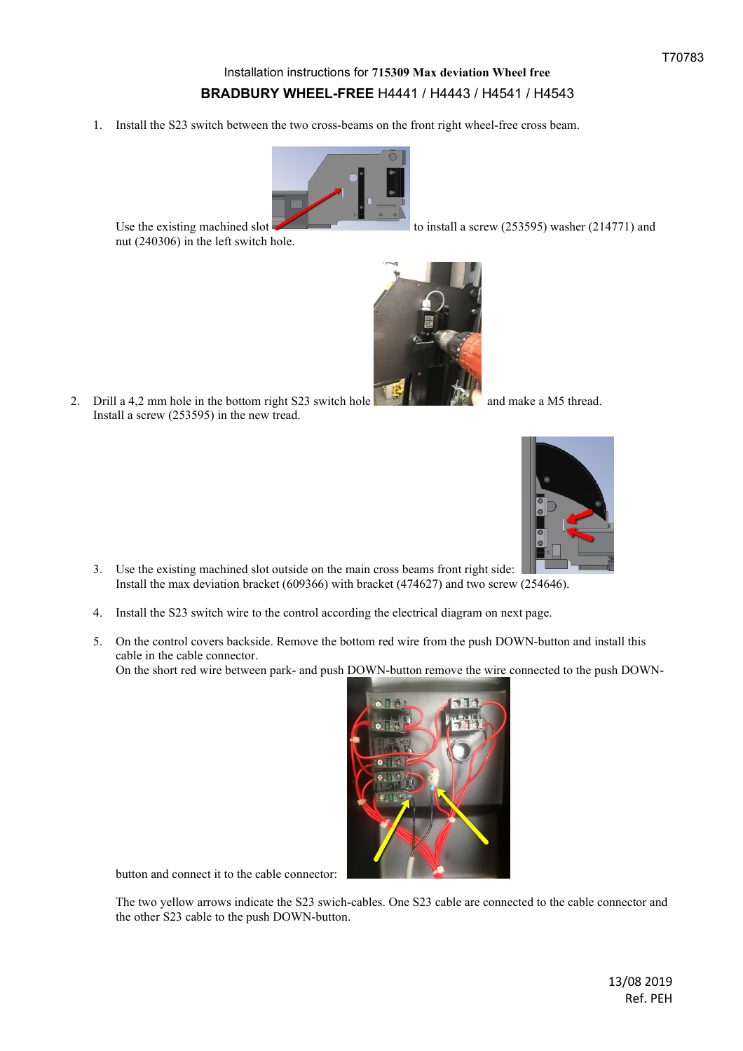## Installation instructions for **715309 Max deviation Wheel free BRADBURY WHEEL-FREE** H4441 / H4443 / H4541 / H4543

1. Install the S23 switch between the two cross-beams on the front right wheel-free cross beam.



Use the existing machined slot to install a screw (253595) washer (214771) and

2. Drill a 4,2 mm hole in the bottom right S23 switch hole  $\frac{1}{2}$  and make a M5 thread. Install a screw (253595) in the new tread.

nut (240306) in the left switch hole.



- 3. Use the existing machined slot outside on the main cross beams front right side: Install the max deviation bracket (609366) with bracket (474627) and two screw (254646).
- 4. Install the S23 switch wire to the control according the electrical diagram on next page.
- 5. On the control covers backside. Remove the bottom red wire from the push DOWN-button and install this cable in the cable connector. On the short red wire between park- and push DOWN-button remove the wire connected to the push DOWN-



button and connect it to the cable connector:

The two yellow arrows indicate the S23 swich-cables. One S23 cable are connected to the cable connector and the other S23 cable to the push DOWN-button.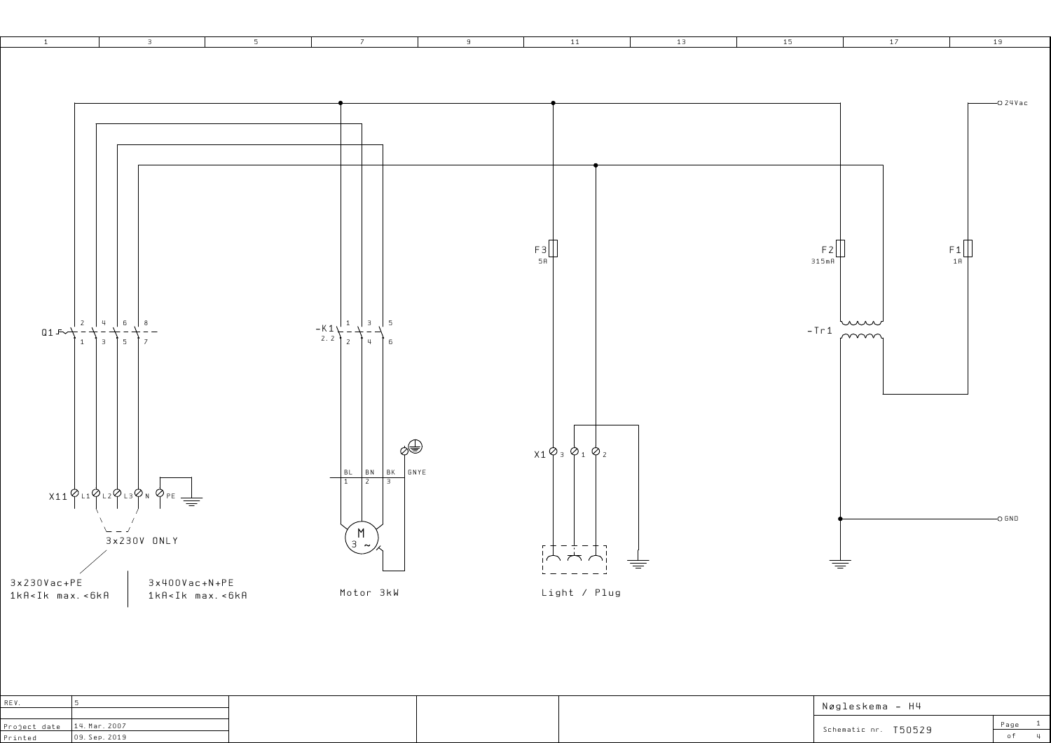

|         |                               |  | Nøgleskema – H4              |      |
|---------|-------------------------------|--|------------------------------|------|
|         | Project date $ 14.$ Mar. 2007 |  | T50529<br>Schematic nr.<br>. | Page |
| Printed | 09. Sep. 2019                 |  |                              |      |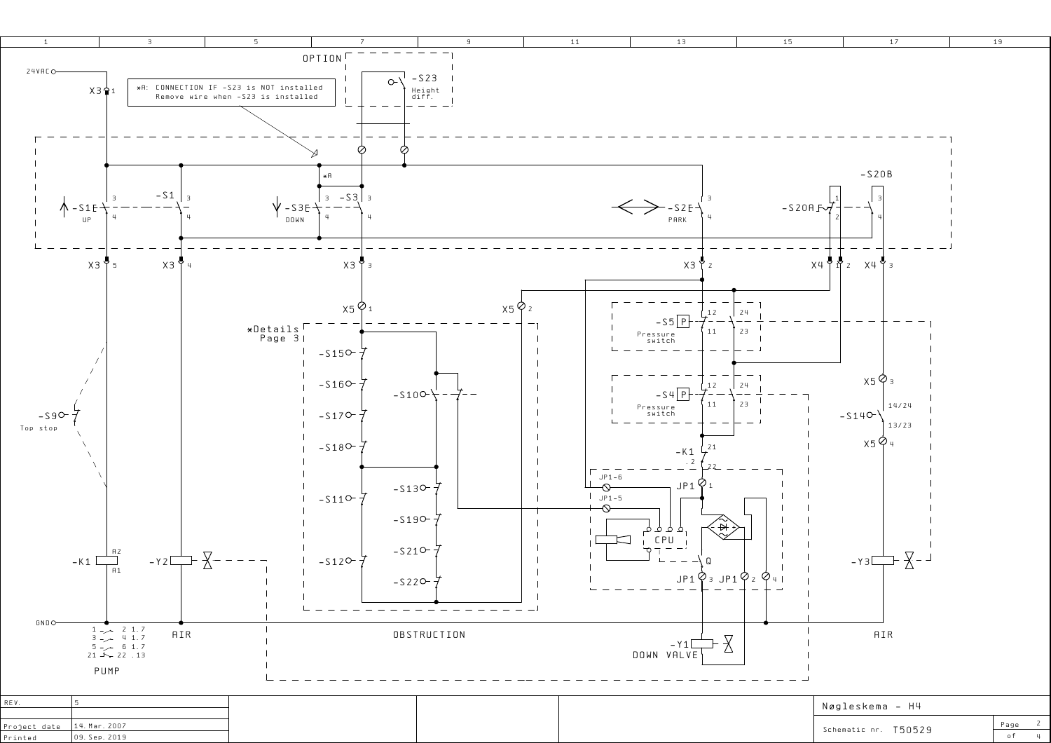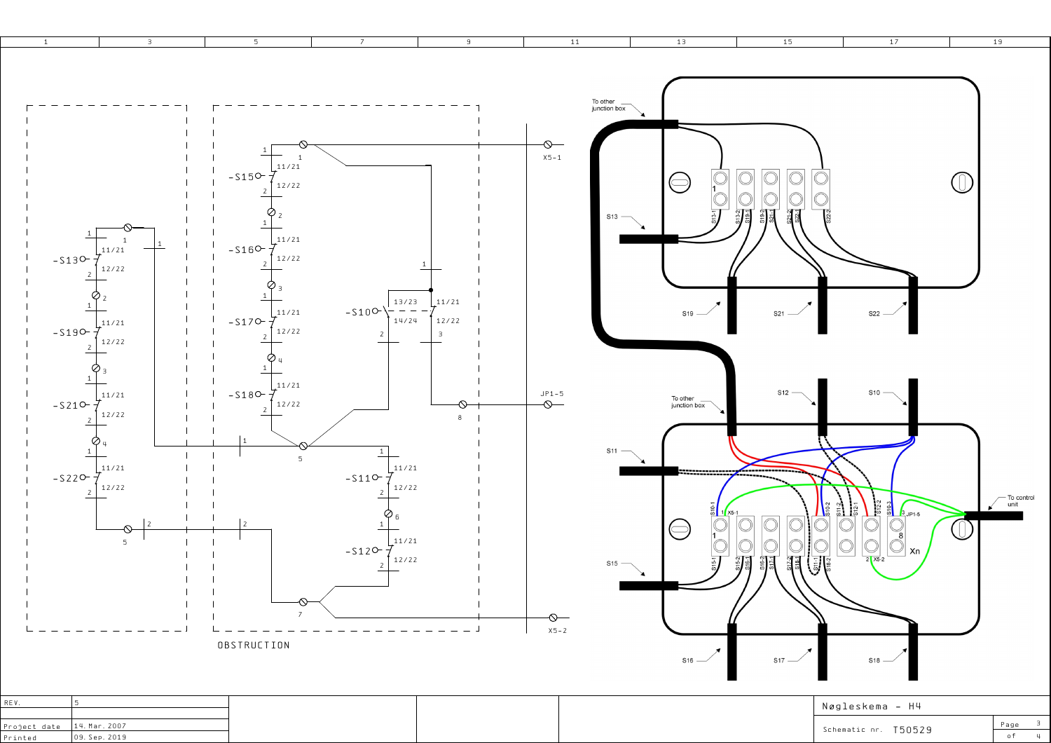

| Project date   14. Mar. 2007 |              |
|------------------------------|--------------|
| $D = 2 - 1 - 1$              | log saa 2010 |

Schematic nr. T50529

 $Page = 3$  $\overline{4}$  $o f$